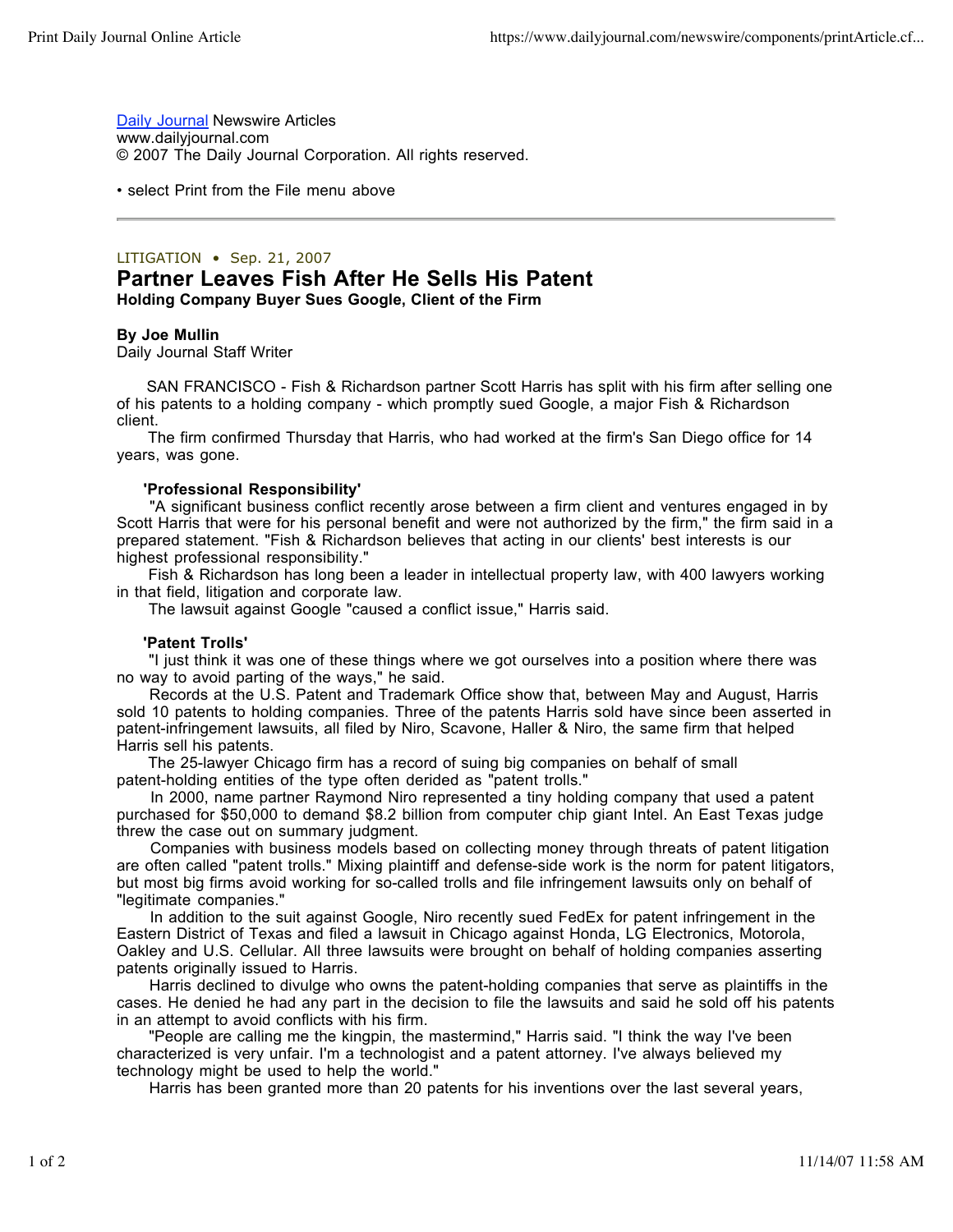Daily Journal Newswire Articles www.dailyjournal.com © 2007 The Daily Journal Corporation. All rights reserved.

• select Print from the File menu above

## LITIGATION • Sep. 21, 2007

# **Partner Leaves Fish After He Sells His Patent Holding Company Buyer Sues Google, Client of the Firm**

### **By Joe Mullin**

Daily Journal Staff Writer

 SAN FRANCISCO - Fish & Richardson partner Scott Harris has split with his firm after selling one of his patents to a holding company - which promptly sued Google, a major Fish & Richardson client.

 The firm confirmed Thursday that Harris, who had worked at the firm's San Diego office for 14 years, was gone.

#### **'Professional Responsibility'**

 "A significant business conflict recently arose between a firm client and ventures engaged in by Scott Harris that were for his personal benefit and were not authorized by the firm," the firm said in a prepared statement. "Fish & Richardson believes that acting in our clients' best interests is our highest professional responsibility."

 Fish & Richardson has long been a leader in intellectual property law, with 400 lawyers working in that field, litigation and corporate law.

The lawsuit against Google "caused a conflict issue," Harris said.

#### **'Patent Trolls'**

 "I just think it was one of these things where we got ourselves into a position where there was no way to avoid parting of the ways," he said.

 Records at the U.S. Patent and Trademark Office show that, between May and August, Harris sold 10 patents to holding companies. Three of the patents Harris sold have since been asserted in patent-infringement lawsuits, all filed by Niro, Scavone, Haller & Niro, the same firm that helped Harris sell his patents.

 The 25-lawyer Chicago firm has a record of suing big companies on behalf of small patent-holding entities of the type often derided as "patent trolls."

 In 2000, name partner Raymond Niro represented a tiny holding company that used a patent purchased for \$50,000 to demand \$8.2 billion from computer chip giant Intel. An East Texas judge threw the case out on summary judgment.

 Companies with business models based on collecting money through threats of patent litigation are often called "patent trolls." Mixing plaintiff and defense-side work is the norm for patent litigators, but most big firms avoid working for so-called trolls and file infringement lawsuits only on behalf of "legitimate companies."

 In addition to the suit against Google, Niro recently sued FedEx for patent infringement in the Eastern District of Texas and filed a lawsuit in Chicago against Honda, LG Electronics, Motorola, Oakley and U.S. Cellular. All three lawsuits were brought on behalf of holding companies asserting patents originally issued to Harris.

 Harris declined to divulge who owns the patent-holding companies that serve as plaintiffs in the cases. He denied he had any part in the decision to file the lawsuits and said he sold off his patents in an attempt to avoid conflicts with his firm.

 "People are calling me the kingpin, the mastermind," Harris said. "I think the way I've been characterized is very unfair. I'm a technologist and a patent attorney. I've always believed my technology might be used to help the world."

Harris has been granted more than 20 patents for his inventions over the last several years,